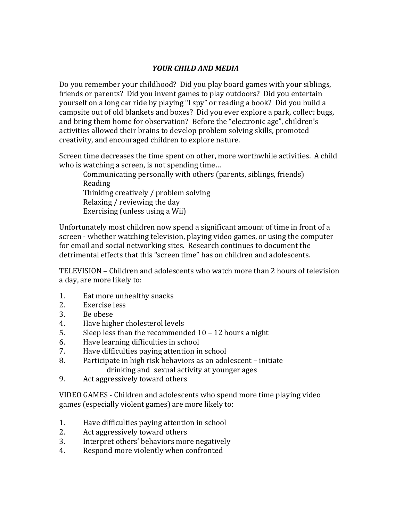# *YOUR CHILD AND MEDIA*

Do you remember your childhood? Did you play board games with your siblings, friends or parents? Did you invent games to play outdoors? Did you entertain yourself on a long car ride by playing "I spy" or reading a book? Did you build a campsite out of old blankets and boxes? Did you ever explore a park, collect bugs, and bring them home for observation? Before the "electronic age", children's activities allowed their brains to develop problem solving skills, promoted creativity, and encouraged children to explore nature.

Screen time decreases the time spent on other, more worthwhile activities. A child who is watching a screen, is not spending time...

Communicating personally with others (parents, siblings, friends) Reading Thinking creatively / problem solving Relaxing / reviewing the day Exercising (unless using a Wii)

Unfortunately most children now spend a significant amount of time in front of a screen - whether watching television, playing video games, or using the computer for email and social networking sites. Research continues to document the detrimental effects that this "screen time" has on children and adolescents.

TELEVISION – Children and adolescents who watch more than 2 hours of television a day, are more likely to:

- 1. Eat more unhealthy snacks
- 2. Exercise less
- 3. Be obese
- 4. Have higher cholesterol levels
- 5. Sleep less than the recommended  $10 12$  hours a night
- 6. Have learning difficulties in school
- 7. Have difficulties paying attention in school
- 8. Participate in high risk behaviors as an adolescent initiate drinking and sexual activity at younger ages
- 9. Act aggressively toward others

VIDEO GAMES - Children and adolescents who spend more time playing video games (especially violent games) are more likely to:

- 1. Have difficulties paying attention in school
- 2. Act aggressively toward others
- 3. Interpret others' behaviors more negatively
- 4. Respond more violently when confronted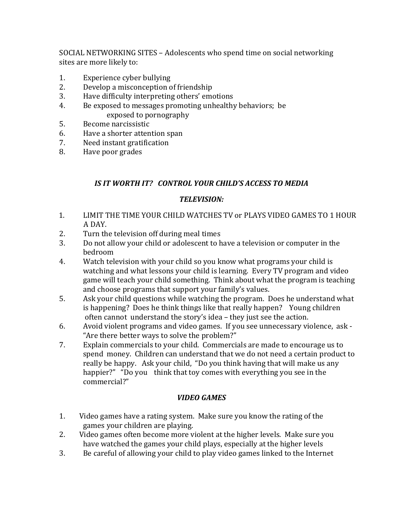SOCIAL NETWORKING SITES - Adolescents who spend time on social networking sites are more likely to:

- 1. Experience cyber bullying
- 2. Develop a misconception of friendship
- 3. Have difficulty interpreting others' emotions
- 4. Be exposed to messages promoting unhealthy behaviors; be exposed to pornography
- 5. Become narcissistic
- 6. Have a shorter attention span
- 7. Need instant gratification
- 8. Have poor grades

## IS IT WORTH IT? CONTROL YOUR CHILD'S ACCESS TO MEDIA

### *TELEVISION:*

- 1. LIMIT THE TIME YOUR CHILD WATCHES TV or PLAYS VIDEO GAMES TO 1 HOUR A DAY.
- 2. Turn the television off during meal times
- 3. Do not allow your child or adolescent to have a television or computer in the bedroom
- 4. Watch television with your child so you know what programs your child is watching and what lessons your child is learning. Every TV program and video game will teach your child something. Think about what the program is teaching and choose programs that support your family's values.
- 5. Ask your child questions while watching the program. Does he understand what is happening? Does he think things like that really happen? Young children often cannot understand the story's idea – they just see the action.
- $6.$  Avoid violent programs and video games. If you see unnecessary violence, ask -"Are there better ways to solve the problem?"
- 7. Explain commercials to your child. Commercials are made to encourage us to spend money. Children can understand that we do not need a certain product to really be happy. Ask your child, "Do you think having that will make us any happier?" "Do you think that toy comes with everything you see in the commercial?"

#### *VIDEO GAMES*

- 1. Video games have a rating system. Make sure you know the rating of the games your children are playing.
- 2. Video games often become more violent at the higher levels. Make sure you have watched the games your child plays, especially at the higher levels
- 3. Be careful of allowing your child to play video games linked to the Internet